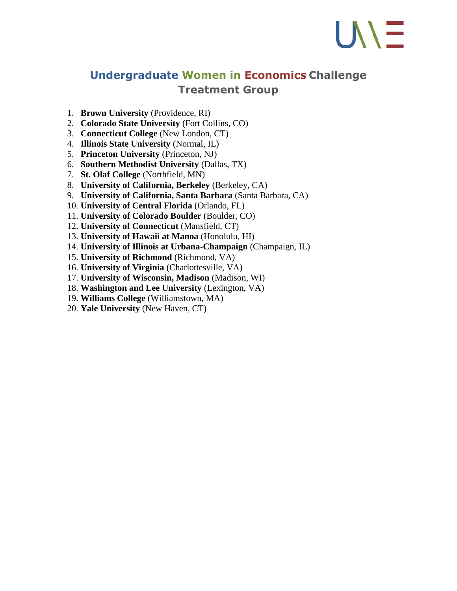## UN E

## **Undergraduate Women in Economics Challenge Treatment Group**

- 1. **Brown University** (Providence, RI)
- 2. **Colorado State University** (Fort Collins, CO)
- 3. **Connecticut College** (New London, CT)
- 4. **Illinois State University** (Normal, IL)
- 5. **Princeton University** (Princeton, NJ)
- 6. **Southern Methodist University** (Dallas, TX)
- 7. **St. Olaf College** (Northfield, MN)
- 8. **University of California, Berkeley** (Berkeley, CA)
- 9. **University of California, Santa Barbara** (Santa Barbara, CA)
- 10. **University of Central Florida** (Orlando, FL)
- 11. **University of Colorado Boulder** (Boulder, CO)
- 12. **University of Connecticut** (Mansfield, CT)
- 13. **University of Hawaii at Manoa** (Honolulu, HI)
- 14. **University of Illinois at Urbana-Champaign** (Champaign, IL)
- 15. **University of Richmond** (Richmond, VA)
- 16. **University of Virginia** (Charlottesville, VA)
- 17. **University of Wisconsin, Madison** (Madison, WI)
- 18. **Washington and Lee University** (Lexington, VA)
- 19. **Williams College** (Williamstown, MA)
- 20. **Yale University** (New Haven, CT)